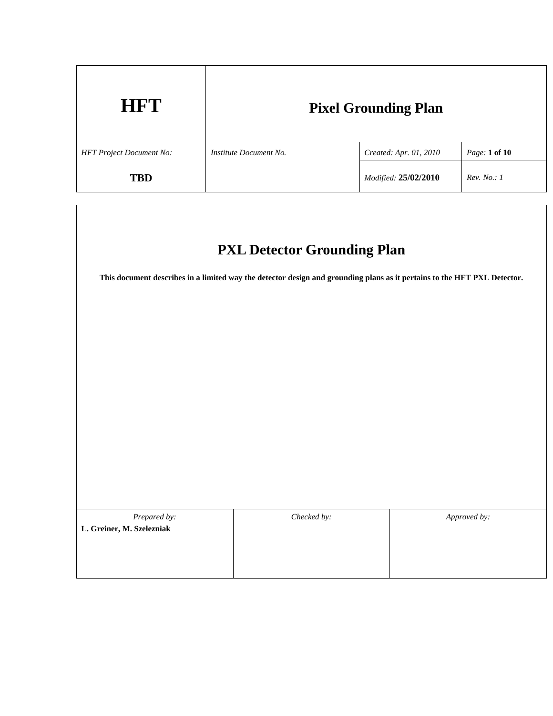| <b>HFT</b>                      | <b>Pixel Grounding Plan</b> |                        |               |
|---------------------------------|-----------------------------|------------------------|---------------|
| <b>HFT Project Document No:</b> | Institute Document No.      | Created: Apr. 01, 2010 | Page: 1 of 10 |
| <b>TBD</b>                      |                             | Modified: 25/02/2010   | Rev. No.: I   |

# **PXL Detector Grounding Plan**

**This document describes in a limited way the detector design and grounding plans as it pertains to the HFT PXL Detector.** 

| Prepared by:              | Checked by: | Approved by: |  |
|---------------------------|-------------|--------------|--|
| L. Greiner, M. Szelezniak |             |              |  |
|                           |             |              |  |
|                           |             |              |  |
|                           |             |              |  |
|                           |             |              |  |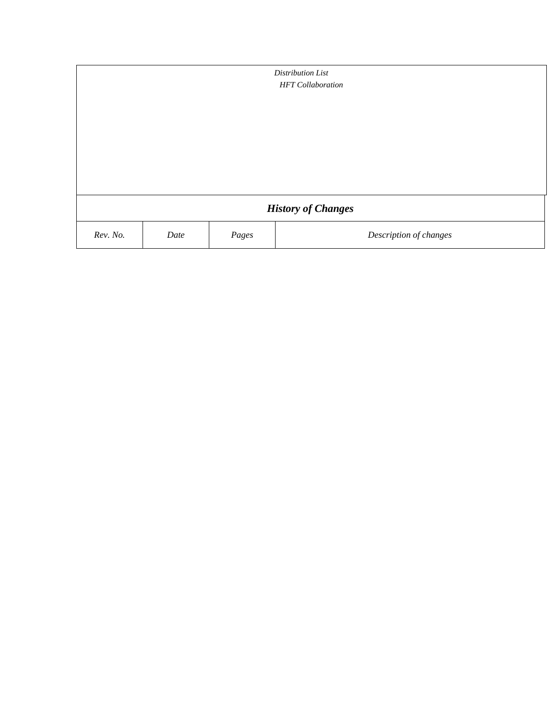| Distribution List<br><b>HFT</b> Collaboration |      |       |                        |  |
|-----------------------------------------------|------|-------|------------------------|--|
|                                               |      |       |                        |  |
|                                               |      |       |                        |  |
|                                               |      |       |                        |  |
|                                               |      |       |                        |  |
| <b>History of Changes</b>                     |      |       |                        |  |
| Rev. No.                                      | Date | Pages | Description of changes |  |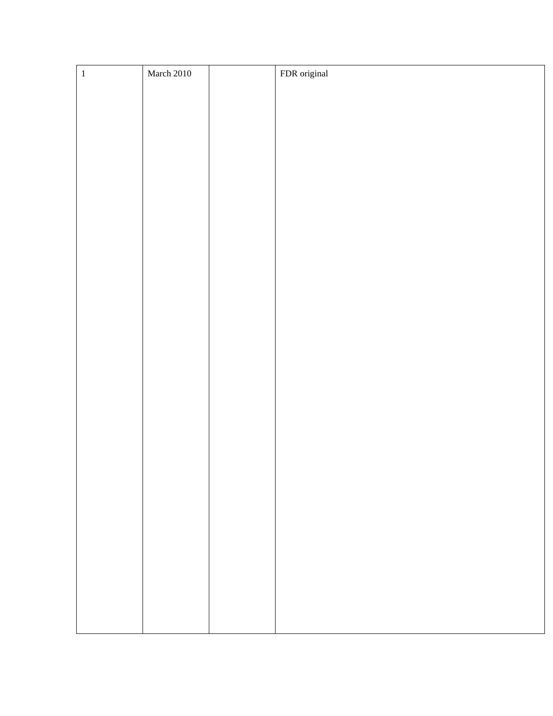| $\,1\,$ | March 2010 | FDR original |
|---------|------------|--------------|
|         |            |              |
|         |            |              |
|         |            |              |
|         |            |              |
|         |            |              |
|         |            |              |
|         |            |              |
|         |            |              |
|         |            |              |
|         |            |              |
|         |            |              |
|         |            |              |
|         |            |              |
|         |            |              |
|         |            |              |
|         |            |              |
|         |            |              |
|         |            |              |
|         |            |              |
|         |            |              |
|         |            |              |
|         |            |              |
|         |            |              |
|         |            |              |
|         |            |              |
|         |            |              |
|         |            |              |
|         |            |              |
|         |            |              |
|         |            |              |
|         |            |              |
|         |            |              |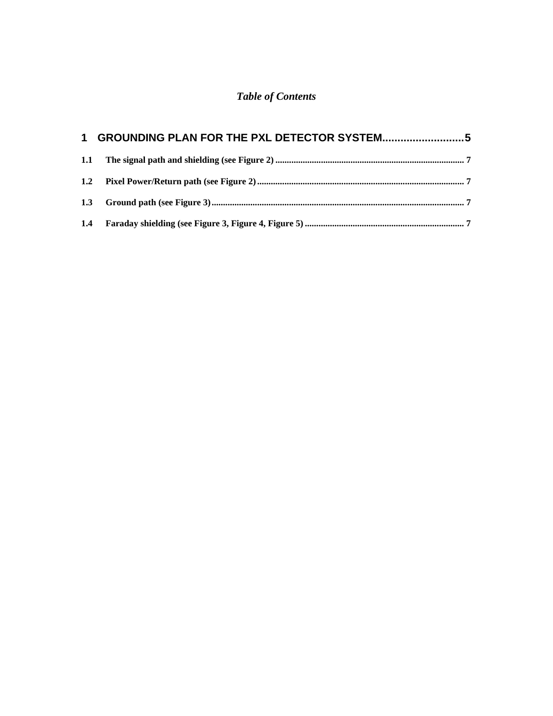## *Table of Contents*

| 1 GROUNDING PLAN FOR THE PXL DETECTOR SYSTEM5 |  |
|-----------------------------------------------|--|
|                                               |  |
|                                               |  |
|                                               |  |
|                                               |  |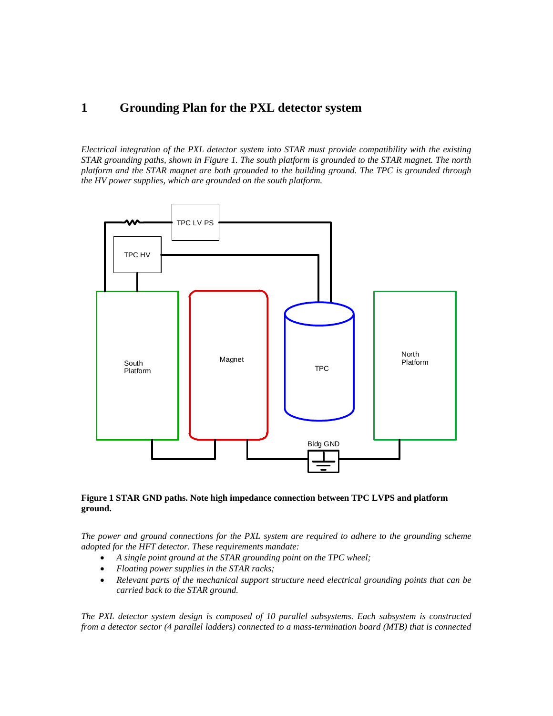### **1 Grounding Plan for the PXL detector system**

*Electrical integration of the PXL detector system into STAR must provide compatibility with the existing STAR grounding paths, shown in Figure 1. The south platform is grounded to the STAR magnet. The north platform and the STAR magnet are both grounded to the building ground. The TPC is grounded through the HV power supplies, which are grounded on the south platform.* 



#### **Figure 1 STAR GND paths. Note high impedance connection between TPC LVPS and platform ground.**

*The power and ground connections for the PXL system are required to adhere to the grounding scheme adopted for the HFT detector. These requirements mandate:* 

- *A single point ground at the STAR grounding point on the TPC wheel;*
- *Floating power supplies in the STAR racks;*
- *Relevant parts of the mechanical support structure need electrical grounding points that can be carried back to the STAR ground.*

*The PXL detector system design is composed of 10 parallel subsystems. Each subsystem is constructed from a detector sector (4 parallel ladders) connected to a mass-termination board (MTB) that is connected*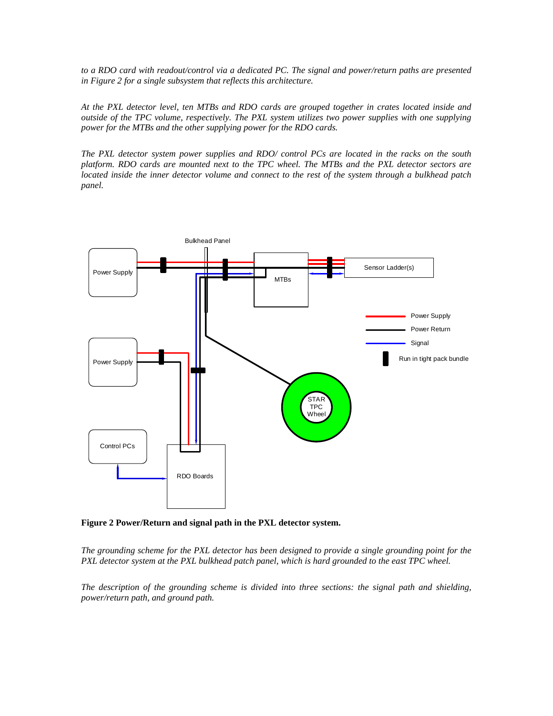*to a RDO card with readout/control via a dedicated PC. The signal and power/return paths are presented in Figure 2 for a single subsystem that reflects this architecture.* 

*At the PXL detector level, ten MTBs and RDO cards are grouped together in crates located inside and outside of the TPC volume, respectively. The PXL system utilizes two power supplies with one supplying power for the MTBs and the other supplying power for the RDO cards.* 

*The PXL detector system power supplies and RDO/ control PCs are located in the racks on the south platform. RDO cards are mounted next to the TPC wheel. The MTBs and the PXL detector sectors are located inside the inner detector volume and connect to the rest of the system through a bulkhead patch panel.* 



**Figure 2 Power/Return and signal path in the PXL detector system.** 

*The grounding scheme for the PXL detector has been designed to provide a single grounding point for the PXL detector system at the PXL bulkhead patch panel, which is hard grounded to the east TPC wheel.* 

*The description of the grounding scheme is divided into three sections: the signal path and shielding, power/return path, and ground path.*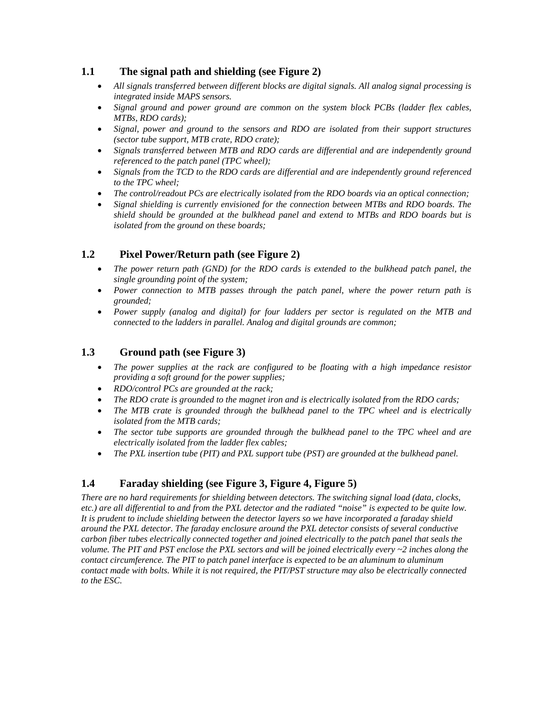#### **1.1 The signal path and shielding (see Figure 2)**

- *All signals transferred between different blocks are digital signals. All analog signal processing is integrated inside MAPS sensors.*
- *Signal ground and power ground are common on the system block PCBs (ladder flex cables, MTBs, RDO cards);*
- *Signal, power and ground to the sensors and RDO are isolated from their support structures (sector tube support, MTB crate, RDO crate);*
- *Signals transferred between MTB and RDO cards are differential and are independently ground referenced to the patch panel (TPC wheel);*
- *Signals from the TCD to the RDO cards are differential and are independently ground referenced to the TPC wheel;*
- *The control/readout PCs are electrically isolated from the RDO boards via an optical connection;*
- *Signal shielding is currently envisioned for the connection between MTBs and RDO boards. The shield should be grounded at the bulkhead panel and extend to MTBs and RDO boards but is isolated from the ground on these boards;*

#### **1.2 Pixel Power/Return path (see Figure 2)**

- *The power return path (GND) for the RDO cards is extended to the bulkhead patch panel, the single grounding point of the system;*
- *Power connection to MTB passes through the patch panel, where the power return path is grounded;*
- *Power supply (analog and digital) for four ladders per sector is regulated on the MTB and connected to the ladders in parallel. Analog and digital grounds are common;*

#### **1.3 Ground path (see Figure 3)**

- *The power supplies at the rack are configured to be floating with a high impedance resistor providing a soft ground for the power supplies;*
- *RDO/control PCs are grounded at the rack;*
- *The RDO crate is grounded to the magnet iron and is electrically isolated from the RDO cards;*
- *The MTB crate is grounded through the bulkhead panel to the TPC wheel and is electrically isolated from the MTB cards;*
- *The sector tube supports are grounded through the bulkhead panel to the TPC wheel and are electrically isolated from the ladder flex cables;*
- *The PXL insertion tube (PIT) and PXL support tube (PST) are grounded at the bulkhead panel.*

#### **1.4 Faraday shielding (see Figure 3, Figure 4, Figure 5)**

*There are no hard requirements for shielding between detectors. The switching signal load (data, clocks, etc.) are all differential to and from the PXL detector and the radiated "noise" is expected to be quite low. It is prudent to include shielding between the detector layers so we have incorporated a faraday shield around the PXL detector. The faraday enclosure around the PXL detector consists of several conductive carbon fiber tubes electrically connected together and joined electrically to the patch panel that seals the volume. The PIT and PST enclose the PXL sectors and will be joined electrically every ~2 inches along the contact circumference. The PIT to patch panel interface is expected to be an aluminum to aluminum contact made with bolts. While it is not required, the PIT/PST structure may also be electrically connected to the ESC.*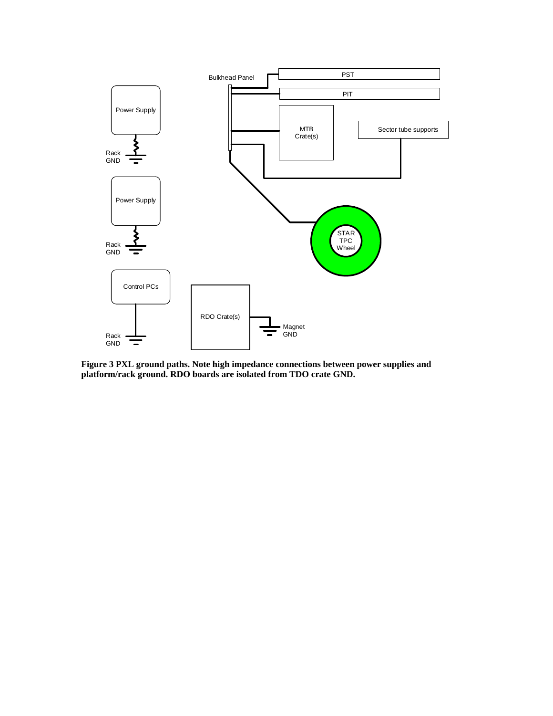

**Figure 3 PXL ground paths. Note high impedance connections between power supplies and platform/rack ground. RDO boards are isolated from TDO crate GND.**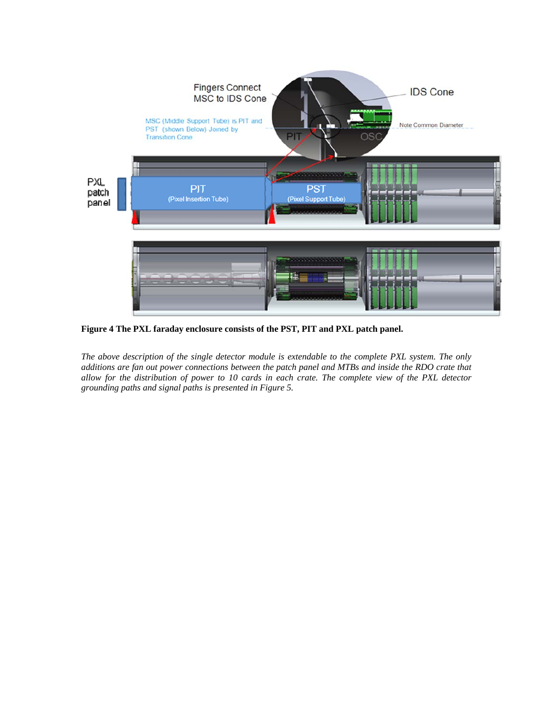

**Figure 4 The PXL faraday enclosure consists of the PST, PIT and PXL patch panel.** 

*The above description of the single detector module is extendable to the complete PXL system. The only additions are fan out power connections between the patch panel and MTBs and inside the RDO crate that allow for the distribution of power to 10 cards in each crate. The complete view of the PXL detector grounding paths and signal paths is presented in Figure 5.*